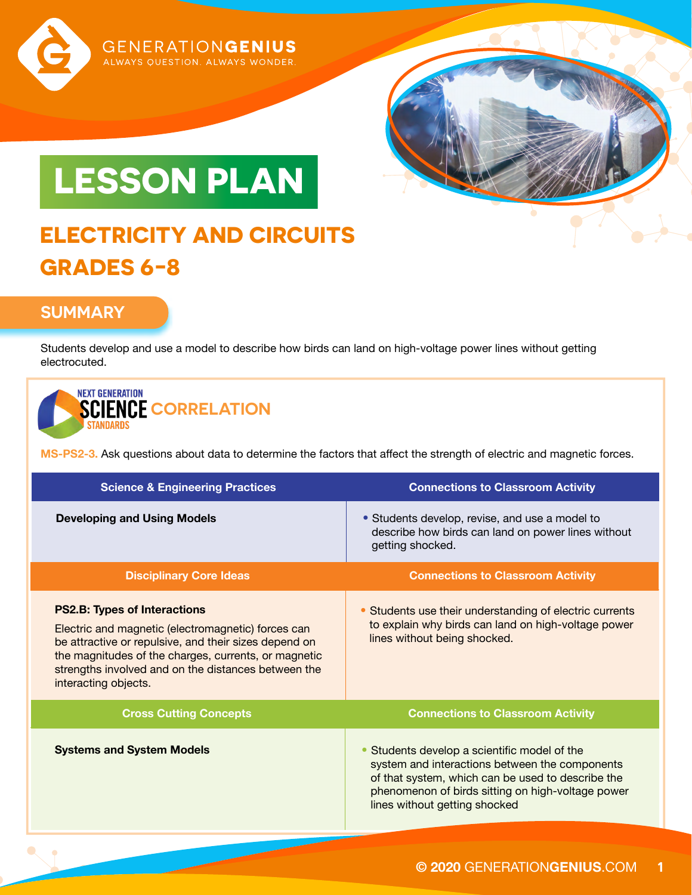

# **LESSON PLAN**

**GENERATIONGENIUS** ALWAYS QUESTION. ALWAYS WONDER.

### **ELECTRICITY AND CIRCUITS GRADES 6-8**

#### **SUMMARY**

Students develop and use a model to describe how birds can land on high-voltage power lines without getting electrocuted.

#### **NEXT GENERATION SCIENCE CORRELATION** STANDARDS

**MS-PS2-3.** Ask questions about data to determine the factors that affect the strength of electric and magnetic forces.

| <b>Science &amp; Engineering Practices</b>                                                                                                                                                                                                                                                | <b>Connections to Classroom Activity</b>                                                                                                                                                                                                |
|-------------------------------------------------------------------------------------------------------------------------------------------------------------------------------------------------------------------------------------------------------------------------------------------|-----------------------------------------------------------------------------------------------------------------------------------------------------------------------------------------------------------------------------------------|
| <b>Developing and Using Models</b>                                                                                                                                                                                                                                                        | • Students develop, revise, and use a model to<br>describe how birds can land on power lines without<br>getting shocked.                                                                                                                |
| <b>Disciplinary Core Ideas</b>                                                                                                                                                                                                                                                            | <b>Connections to Classroom Activity</b>                                                                                                                                                                                                |
| <b>PS2.B: Types of Interactions</b><br>Electric and magnetic (electromagnetic) forces can<br>be attractive or repulsive, and their sizes depend on<br>the magnitudes of the charges, currents, or magnetic<br>strengths involved and on the distances between the<br>interacting objects. | • Students use their understanding of electric currents<br>to explain why birds can land on high-voltage power<br>lines without being shocked.                                                                                          |
| <b>Cross Cutting Concepts</b>                                                                                                                                                                                                                                                             | <b>Connections to Classroom Activity</b>                                                                                                                                                                                                |
| <b>Systems and System Models</b>                                                                                                                                                                                                                                                          | Students develop a scientific model of the<br>system and interactions between the components<br>of that system, which can be used to describe the<br>phenomenon of birds sitting on high-voltage power<br>lines without getting shocked |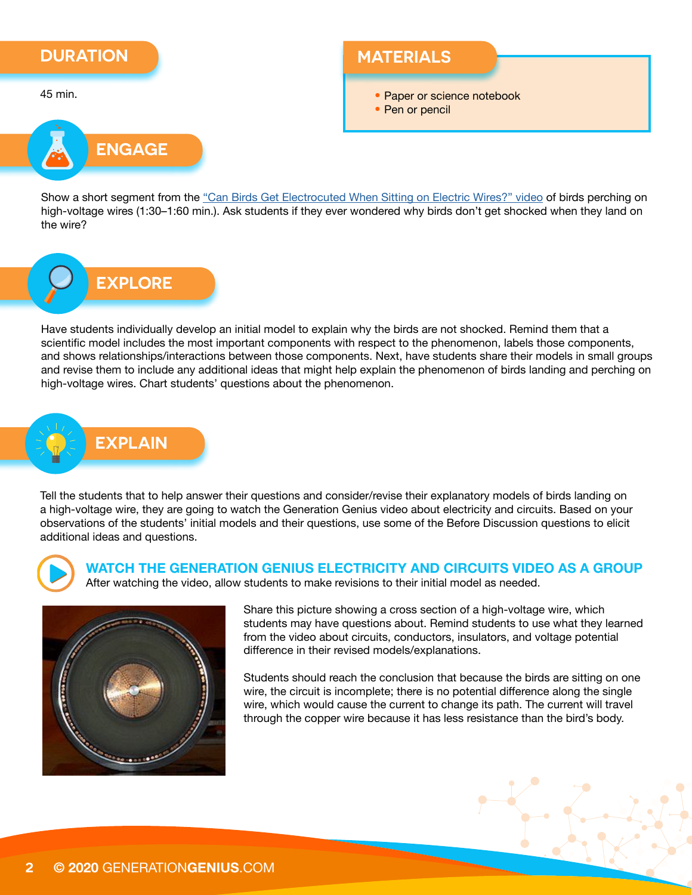#### **DURATION**

45 min.

#### **MATERIALS**

• Paper or science notebook

• Pen or pencil



Show a short segment from the ["Can Birds Get Electrocuted When Sitting on Electric Wires?" video](https://youtu.be/n0yK8Q1u_uQ) of birds perching on high-voltage wires (1:30–1:60 min.). Ask students if they ever wondered why birds don't get shocked when they land on the wire?

# **EXPLORE**

Have students individually develop an initial model to explain why the birds are not shocked. Remind them that a scientific model includes the most important components with respect to the phenomenon, labels those components, and shows relationships/interactions between those components. Next, have students share their models in small groups and revise them to include any additional ideas that might help explain the phenomenon of birds landing and perching on high-voltage wires. Chart students' questions about the phenomenon.

### **EXPLAIN**

Tell the students that to help answer their questions and consider/revise their explanatory models of birds landing on a high-voltage wire, they are going to watch the Generation Genius video about electricity and circuits. Based on your observations of the students' initial models and their questions, use some of the Before Discussion questions to elicit additional ideas and questions.



**WATCH THE GENERATION GENIUS ELECTRICITY AND CIRCUITS VIDEO AS A GROUP** After watching the video, allow students to make revisions to their initial model as needed.



Share this picture showing a cross section of a high-voltage wire, which students may have questions about. Remind students to use what they learned from the video about circuits, conductors, insulators, and voltage potential difference in their revised models/explanations.

Students should reach the conclusion that because the birds are sitting on one wire, the circuit is incomplete; there is no potential difference along the single wire, which would cause the current to change its path. The current will travel through the copper wire because it has less resistance than the bird's body.